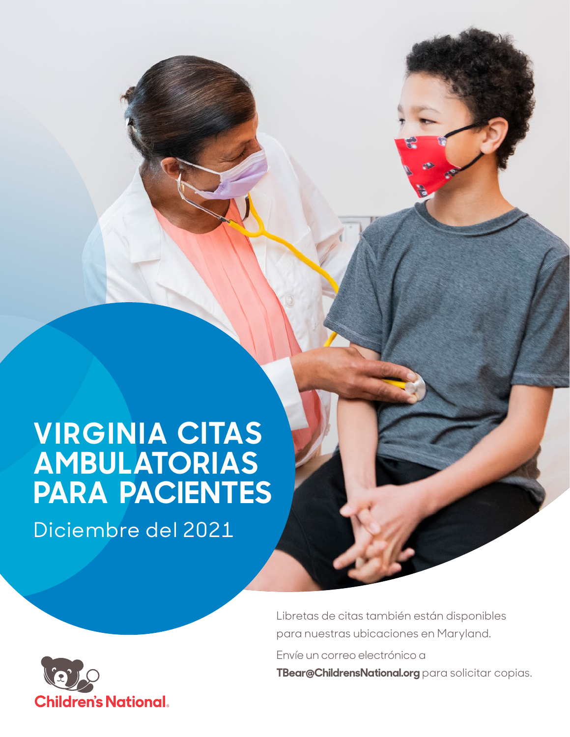# **VIRGINIA CITAS AMBULATORIAS PARA PACIENTES**

Diciembre del 2021



Libretas de citas también están disponibles para nuestras ubicaciones en Maryland.

Envíe un correo electrónico a

**TBear@ChildrensNational.org** para solicitar copias.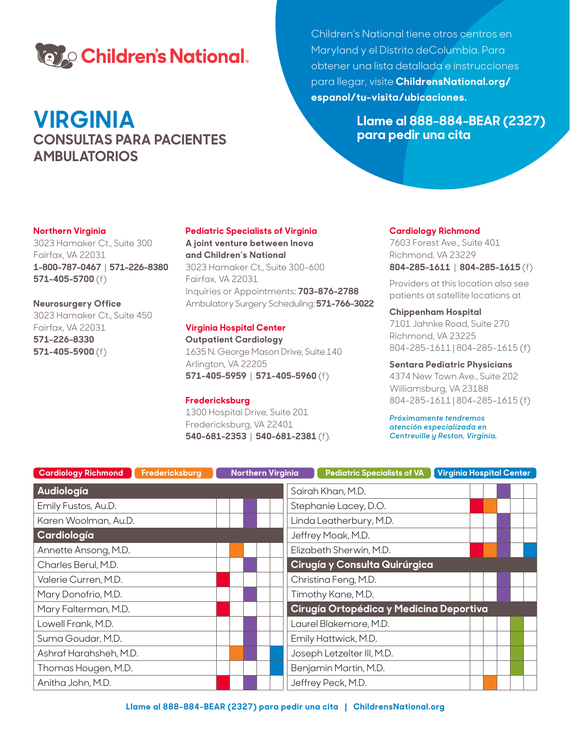

# **VIRGINIA CONSULTAS PARA PACIENTES AMBULATORIOS**

Children's National tiene otros centros en Maryland y el Distrito deColumbia. Para obtener una lista detallada e instrucciones para llegar, visite **ChildrensNational.org/ espanol/tu-visita/ubicaciones.**

> **Llame al 888-884-BEAR (2327) para pedir una cita**

### **Northern Virginia**

3023 Hamaker Ct., Suite 300 Fairfax, VA 22031 **1-800-787-0467** | **571-226-8380 571-405-5700** (f)

#### **Neurosurgery Office**

3023 Hamaker Ct., Suite 450 Fairfax, VA 22031 **571-226-8330 571-405-5900** (f)

#### **Pediatric Specialists of Virginia**

**A joint venture between Inova and Children's National** 3023 Hamaker Ct., Suite 300-600 Fairfax, VA 22031 Inquiries or Appointments: **703-876-2788** Ambulatory Surgery Scheduling: **571-766-3022**

### **Virginia Hospital Center**

**Outpatient Cardiology** 1635 N. George Mason Drive, Suite 140 Arlington, VA 22205 **571-405-5959** | **571-405-5960** (f)

### **Fredericksburg**

1300 Hospital Drive, Suite 201 Fredericksburg, VA 22401 **540-681-2353** | **540-681-2381** (f)*.*

#### **Cardiology Richmond**

7603 Forest Ave., Suite 401 Richmond, VA 23229 **804-285-1611** | **804-285-1615** (f)

Providers at this location also see patients at satellite locations at

## **Chippenham Hospital**

7101 Jahnke Road, Suite 270 Richmond, VA 23225 804-285-1611 | 804-285-1615 (f)

### **Sentara Pediatric Physicians**

4374 New Town Ave., Suite 202 Williamsburg, VA 23188 804-285-1611 | 804-285-1615 (f)

*Próximamente tendremos atención especializada en Centreville y Reston, Virginia.*

| <b>Cardiology Richmond</b><br>Fredericksburg | <b>Northern Virginia</b> | <b>Virginia Hospital Center</b><br><b>Pediatric Specialists of VA</b> |
|----------------------------------------------|--------------------------|-----------------------------------------------------------------------|
| Audiología                                   |                          | Sairah Khan, M.D.                                                     |
| Emily Fustos, Au.D.                          |                          | Stephanie Lacey, D.O.                                                 |
| Karen Woolman, Au.D.                         |                          | Linda Leatherbury, M.D.                                               |
| Cardiología                                  |                          | Jeffrey Moak, M.D.                                                    |
| Annette Ansong, M.D.                         |                          | Elizabeth Sherwin, M.D.                                               |
| Charles Berul, M.D.                          |                          | Cirugía y Consulta Quirúrgica                                         |
| Valerie Curren, M.D.                         |                          | Christina Feng, M.D.                                                  |
| Mary Donofrio, M.D.                          |                          | Timothy Kane, M.D.                                                    |
| Mary Falterman, M.D.                         |                          | Cirugía Ortopédica y Medicina Deportiva                               |
| Lowell Frank, M.D.                           |                          | Laurel Blakemore, M.D.                                                |
| Suma Goudar, M.D.                            |                          | Emily Hattwick, M.D.                                                  |
| Ashraf Harahsheh, M.D.                       |                          | Joseph Letzelter III, M.D.                                            |
| Thomas Hougen, M.D.                          |                          | Benjamin Martin, M.D.                                                 |
| Anitha John, M.D.                            |                          | Jeffrey Peck, M.D.                                                    |
|                                              |                          |                                                                       |